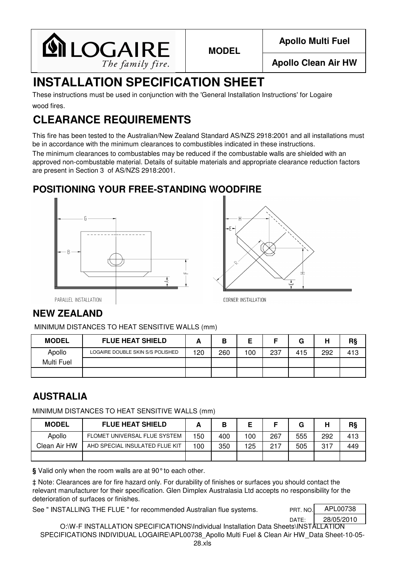

**MODEL**

**Apollo Multi Fuel**

**Apollo Clean Air HW**

# **INSTALLATION SPECIFICATION SHEET**

wood fires. These instructions must be used in conjunction with the 'General Installation Instructions' for Logaire

# **CLEARANCE REQUIREMENTS**

This fire has been tested to the Australian/New Zealand Standard AS/NZS 2918:2001 and all installations must be in accordance with the minimum clearances to combustibles indicated in these instructions.

The minimum clearances to combustables may be reduced if the combustable walls are shielded with an approved non-combustable material. Details of suitable materials and appropriate clearance reduction factors are present in Section 3 of AS/NZS 2918:2001.

#### **POSITIONING YOUR FREE-STANDING WOODFIRE**





PARALLEL INSTALLATION

### **NEW ZEALAND**

MINIMUM DISTANCES TO HEAT SENSITIVE WALLS (mm)

| <b>MODEL</b> | <b>FLUE HEAT SHIELD</b>          |     | В   |     |     | G   | н   | R§  |
|--------------|----------------------------------|-----|-----|-----|-----|-----|-----|-----|
| Apollo       | LOGAIRE DOUBLE SKIN S/S POLISHED | 120 | 260 | 100 | 237 | 415 | 292 | 413 |
| Multi Fuel   |                                  |     |     |     |     |     |     |     |
|              |                                  |     |     |     |     |     |     |     |

### **AUSTRALIA**

MINIMUM DISTANCES TO HEAT SENSITIVE WALLS (mm)

| <b>MODEL</b> | <b>FLUE HEAT SHIELD</b>        |     |     |     |     | G   | ш   | R§  |
|--------------|--------------------------------|-----|-----|-----|-----|-----|-----|-----|
| Apollo       | FLOMET UNIVERSAL FLUE SYSTEM   | 150 | 400 | 100 | 267 | 555 | 292 | 413 |
| Clean Air HW | AHD SPECIAL INSULATED FLUE KIT | 100 | 350 | 125 | 217 | 505 | 317 | 449 |
|              |                                |     |     |     |     |     |     |     |

**§** Valid only when the room walls are at 90°to each other.

‡ Note: Clearances are for fire hazard only. For durability of finishes or surfaces you should contact the relevant manufacturer for their specification. Glen Dimplex Australasia Ltd accepts no responsibility for the deterioration of surfaces or finishes.

See " INSTALLING THE FLUE " for recommended Australian flue systems.

| PRT. NO. | APL00738   |
|----------|------------|
| DATE:    | 28/05/2010 |
|          |            |

O:\W-F INSTALLATION SPECIFICATIONS\Individual Installation Data Sheets\INSTALLATION SPECIFICATIONS INDIVIDUAL LOGAIRE\APL00738 Apollo Multi Fuel & Clean Air HW Data Sheet-10-05-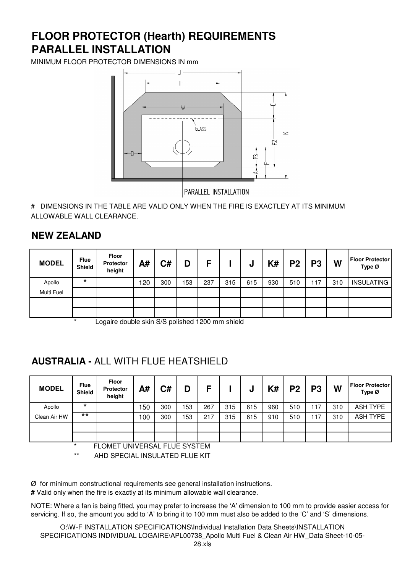## **PARALLEL INSTALLATION FLOOR PROTECTOR (Hearth) REQUIREMENTS**

MINIMUM FLOOR PROTECTOR DIMENSIONS IN mm



# DIMENSIONS IN THE TABLE ARE VALID ONLY WHEN THE FIRE IS EXACTLEY AT ITS MINIMUM ALLOWABLE WALL CLEARANCE.

#### **NEW ZEALAND**

| <b>MODEL</b> | <b>Flue</b><br>Shield | <b>Floor</b><br>Protector<br>height | A#  | C#  | D   | Е   |     | ν   | K#  | P <sub>2</sub> | <b>P3</b> | W   | <b>Floor Protector</b><br>Type Ø |
|--------------|-----------------------|-------------------------------------|-----|-----|-----|-----|-----|-----|-----|----------------|-----------|-----|----------------------------------|
| Apollo       | $\star$               |                                     | 120 | 300 | 153 | 237 | 315 | 615 | 930 | 510            | 117       | 310 | <b>INSULATING</b>                |
| Multi Fuel   |                       |                                     |     |     |     |     |     |     |     |                |           |     |                                  |
|              |                       |                                     |     |     |     |     |     |     |     |                |           |     |                                  |
|              |                       |                                     |     |     |     |     |     |     |     |                |           |     |                                  |

Logaire double skin S/S polished 1200 mm shield

#### **AUSTRALIA -** ALL WITH FLUE HEATSHIELD

| <b>Flue</b><br><b>Shield</b> | <b>Floor</b><br><b>Protector</b><br>height | A#  | C#  | D                             | E   |     | u   | K#  | P <sub>2</sub> | P <sub>3</sub> | W   | <b>Floor Protector</b><br>Type Ø |
|------------------------------|--------------------------------------------|-----|-----|-------------------------------|-----|-----|-----|-----|----------------|----------------|-----|----------------------------------|
| *                            |                                            | 150 | 300 | 153                           | 267 | 315 | 615 | 960 | 510            | 117            | 310 | <b>ASH TYPE</b>                  |
| $***$                        |                                            | 100 | 300 | 153                           | 217 | 315 | 615 | 910 | 510            | 117            | 310 | <b>ASH TYPE</b>                  |
|                              |                                            |     |     |                               |     |     |     |     |                |                |     |                                  |
|                              |                                            |     |     |                               |     |     |     |     |                |                |     |                                  |
|                              |                                            |     |     | FLOMET UNIVERSAL FULLE OVOTEM |     |     |     |     |                |                |     |                                  |

FLOMET UNIVERSAL FLUE SYSTEM

AHD SPECIAL INSULATED FLUE KIT

Ø for minimum constructional requirements see general installation instructions.

**#** Valid only when the fire is exactly at its minimum allowable wall clearance.

NOTE: Where a fan is being fitted, you may prefer to increase the 'A' dimension to 100 mm to provide easier access for servicing. If so, the amount you add to 'A' to bring it to 100 mm must also be added to the 'C' and 'S' dimensions.

O:\W-F INSTALLATION SPECIFICATIONS\Individual Installation Data Sheets\INSTALLATION SPECIFICATIONS INDIVIDUAL LOGAIRE\APL00738 Apollo Multi Fuel & Clean Air HW Data Sheet-10-05-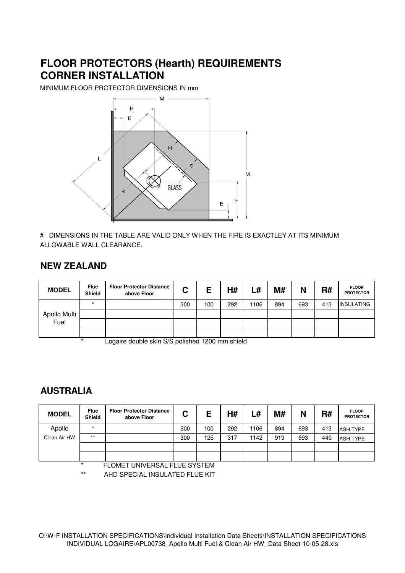## **FLOOR PROTECTORS (Hearth) REQUIREMENTS CORNER INSTALLATION**

MINIMUM FLOOR PROTECTOR DIMENSIONS IN mm



# DIMENSIONS IN THE TABLE ARE VALID ONLY WHEN THE FIRE IS EXACTLEY AT ITS MINIMUM ALLOWABLE WALL CLEARANCE.

#### **NEW ZEALAND**

| <b>MODEL</b>         | <b>Flue</b><br><b>Shield</b> | <b>Floor Protector Distance</b><br>above Floor | ⌒<br>u | Е   | H#  | L#   | M#  | N   | R#  | <b>FLOOR</b><br><b>PROTECTOR</b> |
|----------------------|------------------------------|------------------------------------------------|--------|-----|-----|------|-----|-----|-----|----------------------------------|
| Apollo Multi<br>Fuel |                              |                                                | 300    | 100 | 292 | 1106 | 894 | 693 | 413 | <b>INSULATING</b>                |
|                      |                              |                                                |        |     |     |      |     |     |     |                                  |
|                      |                              |                                                |        |     |     |      |     |     |     |                                  |
|                      |                              |                                                |        |     |     |      |     |     |     |                                  |

Logaire double skin S/S polished 1200 mm shield

#### **AUSTRALIA**

| <b>MODEL</b> | <b>Flue</b><br><b>Shield</b> | <b>Floor Protector Distance</b><br>above Floor | C   | Е   | H#  | L#   | M#  | N   | R#  | <b>FLOOR</b><br><b>PROTECTOR</b> |
|--------------|------------------------------|------------------------------------------------|-----|-----|-----|------|-----|-----|-----|----------------------------------|
| Apollo       | $\star$                      |                                                | 300 | 100 | 292 | 1106 | 894 | 693 | 413 | <b>ASH TYPE</b>                  |
| Clean Air HW | $***$                        |                                                | 300 | 125 | 317 | 1142 | 919 | 693 | 449 | <b>ASH TYPE</b>                  |
|              |                              |                                                |     |     |     |      |     |     |     |                                  |
|              |                              |                                                |     |     |     |      |     |     |     |                                  |
|              | $\star$                      | FLOMET UNIVERSAL FLUE SYSTEM                   |     |     |     |      |     |     |     |                                  |

AHD SPECIAL INSULATED FLUE KIT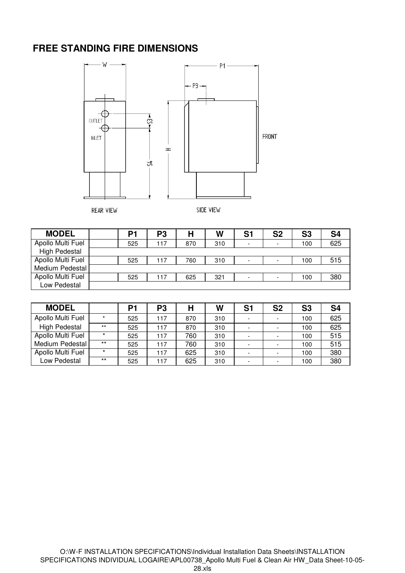#### **FREE STANDING FIRE DIMENSIONS**



**REAR VIEW** 

SIDE VIEW

| <b>MODEL</b>         | P1  | P3  | Н   | W   | S1 | S <sub>2</sub>           | S <sub>3</sub> | S <sub>4</sub> |
|----------------------|-----|-----|-----|-----|----|--------------------------|----------------|----------------|
| Apollo Multi Fuel    | 525 | 117 | 870 | 310 | -  | $\overline{\phantom{a}}$ | 100            | 625            |
| <b>High Pedestal</b> |     |     |     |     |    |                          |                |                |
| Apollo Multi Fuel    | 525 | 117 | 760 | 310 | -  |                          | 100            | 515            |
| Medium Pedestal      |     |     |     |     |    |                          |                |                |
| Apollo Multi Fuel    | 525 | 117 | 625 | 321 | -  | $\overline{\phantom{0}}$ | 100            | 380            |
| Low Pedestal         |     |     |     |     |    |                          |                |                |

| <b>MODEL</b>         |         | P1  | P <sub>3</sub> | Η   | W   | S <sub>1</sub> | <b>S2</b> | S <sub>3</sub> | S <sub>4</sub> |
|----------------------|---------|-----|----------------|-----|-----|----------------|-----------|----------------|----------------|
| Apollo Multi Fuel    | $\star$ | 525 | 117            | 870 | 310 |                |           | 100            | 625            |
| <b>High Pedestal</b> | $***$   | 525 | 117            | 870 | 310 |                |           | 100            | 625            |
| Apollo Multi Fuel    | $\star$ | 525 | 117            | 760 | 310 |                |           | 100            | 515            |
| Medium Pedestal      | $***$   | 525 | 117            | 760 | 310 |                |           | 100            | 515            |
| Apollo Multi Fuel    | $\star$ | 525 | 117            | 625 | 310 |                |           | 100            | 380            |
| Low Pedestal         | $***$   | 525 | 117            | 625 | 310 |                |           | 100            | 380            |